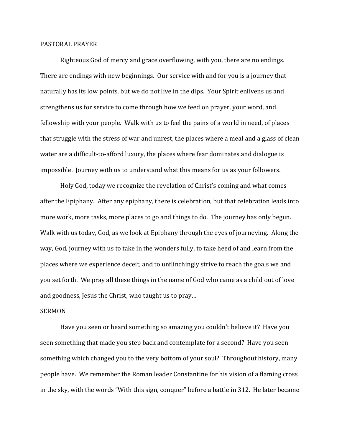## PASTORAL PRAYER

 Righteous God of mercy and grace overflowing, with you, there are no endings. There are endings with new beginnings. Our service with and for you is a journey that naturally has its low points, but we do not live in the dips. Your Spirit enlivens us and strengthens us for service to come through how we feed on prayer, your word, and fellowship with your people. Walk with us to feel the pains of a world in need, of places that struggle with the stress of war and unrest, the places where a meal and a glass of clean water are a difficult-to-afford luxury, the places where fear dominates and dialogue is impossible. Journey with us to understand what this means for us as your followers.

 Holy God, today we recognize the revelation of Christ's coming and what comes after the Epiphany. After any epiphany, there is celebration, but that celebration leads into more work, more tasks, more places to go and things to do. The journey has only begun. Walk with us today, God, as we look at Epiphany through the eyes of journeying. Along the way, God, journey with us to take in the wonders fully, to take heed of and learn from the places where we experience deceit, and to unflinchingly strive to reach the goals we and you set forth. We pray all these things in the name of God who came as a child out of love and goodness, Jesus the Christ, who taught us to pray…

## SERMON

 Have you seen or heard something so amazing you couldn't believe it? Have you seen something that made you step back and contemplate for a second? Have you seen something which changed you to the very bottom of your soul? Throughout history, many people have. We remember the Roman leader Constantine for his vision of a flaming cross in the sky, with the words "With this sign, conquer" before a battle in 312. He later became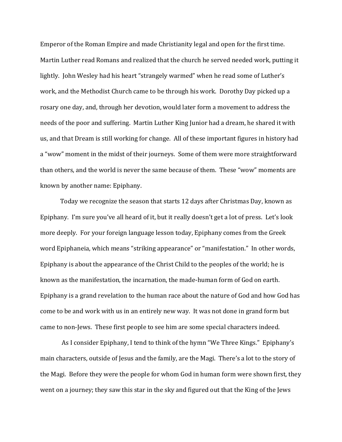Emperor of the Roman Empire and made Christianity legal and open for the first time. Martin Luther read Romans and realized that the church he served needed work, putting it lightly. John Wesley had his heart "strangely warmed" when he read some of Luther's work, and the Methodist Church came to be through his work. Dorothy Day picked up a rosary one day, and, through her devotion, would later form a movement to address the needs of the poor and suffering. Martin Luther King Junior had a dream, he shared it with us, and that Dream is still working for change. All of these important figures in history had a "wow" moment in the midst of their journeys. Some of them were more straightforward than others, and the world is never the same because of them. These "wow" moments are known by another name: Epiphany.

Today we recognize the season that starts 12 days after Christmas Day, known as Epiphany. I'm sure you've all heard of it, but it really doesn't get a lot of press. Let's look more deeply. For your foreign language lesson today, Epiphany comes from the Greek word Epiphaneia, which means "striking appearance" or "manifestation." In other words, Epiphany is about the appearance of the Christ Child to the peoples of the world; he is known as the manifestation, the incarnation, the made-human form of God on earth. Epiphany is a grand revelation to the human race about the nature of God and how God has come to be and work with us in an entirely new way. It was not done in grand form but came to non-Jews. These first people to see him are some special characters indeed.

 As I consider Epiphany, I tend to think of the hymn "We Three Kings." Epiphany's main characters, outside of Jesus and the family, are the Magi. There's a lot to the story of the Magi. Before they were the people for whom God in human form were shown first, they went on a journey; they saw this star in the sky and figured out that the King of the Jews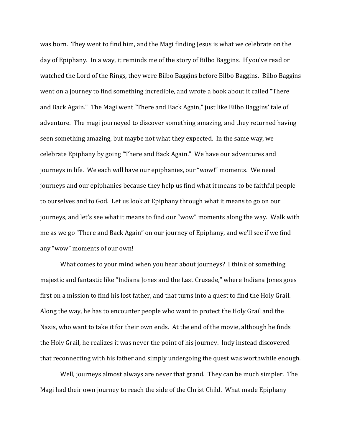was born. They went to find him, and the Magi finding Jesus is what we celebrate on the day of Epiphany. In a way, it reminds me of the story of Bilbo Baggins. If you've read or watched the Lord of the Rings, they were Bilbo Baggins before Bilbo Baggins. Bilbo Baggins went on a journey to find something incredible, and wrote a book about it called "There and Back Again." The Magi went "There and Back Again," just like Bilbo Baggins' tale of adventure. The magi journeyed to discover something amazing, and they returned having seen something amazing, but maybe not what they expected. In the same way, we celebrate Epiphany by going "There and Back Again." We have our adventures and journeys in life. We each will have our epiphanies, our "wow!" moments. We need journeys and our epiphanies because they help us find what it means to be faithful people to ourselves and to God. Let us look at Epiphany through what it means to go on our journeys, and let's see what it means to find our "wow" moments along the way. Walk with me as we go "There and Back Again" on our journey of Epiphany, and we'll see if we find any "wow" moments of our own!

 What comes to your mind when you hear about journeys? I think of something majestic and fantastic like "Indiana Jones and the Last Crusade," where Indiana Jones goes first on a mission to find his lost father, and that turns into a quest to find the Holy Grail. Along the way, he has to encounter people who want to protect the Holy Grail and the Nazis, who want to take it for their own ends. At the end of the movie, although he finds the Holy Grail, he realizes it was never the point of his journey. Indy instead discovered that reconnecting with his father and simply undergoing the quest was worthwhile enough.

Well, journeys almost always are never that grand. They can be much simpler. The Magi had their own journey to reach the side of the Christ Child. What made Epiphany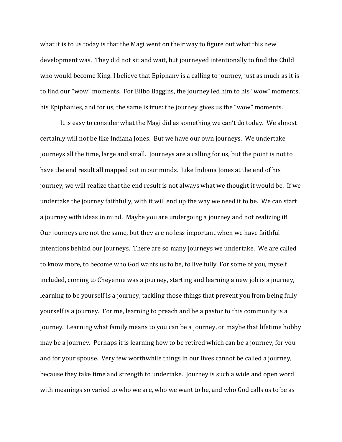what it is to us today is that the Magi went on their way to figure out what this new development was. They did not sit and wait, but journeyed intentionally to find the Child who would become King. I believe that Epiphany is a calling to journey, just as much as it is to find our "wow" moments. For Bilbo Baggins, the journey led him to his "wow" moments, his Epiphanies, and for us, the same is true: the journey gives us the "wow" moments.

It is easy to consider what the Magi did as something we can't do today. We almost certainly will not be like Indiana Jones. But we have our own journeys. We undertake journeys all the time, large and small. Journeys are a calling for us, but the point is not to have the end result all mapped out in our minds. Like Indiana Jones at the end of his journey, we will realize that the end result is not always what we thought it would be. If we undertake the journey faithfully, with it will end up the way we need it to be. We can start a journey with ideas in mind. Maybe you are undergoing a journey and not realizing it! Our journeys are not the same, but they are no less important when we have faithful intentions behind our journeys. There are so many journeys we undertake. We are called to know more, to become who God wants us to be, to live fully. For some of you, myself included, coming to Cheyenne was a journey, starting and learning a new job is a journey, learning to be yourself is a journey, tackling those things that prevent you from being fully yourself is a journey. For me, learning to preach and be a pastor to this community is a journey. Learning what family means to you can be a journey, or maybe that lifetime hobby may be a journey. Perhaps it is learning how to be retired which can be a journey, for you and for your spouse. Very few worthwhile things in our lives cannot be called a journey, because they take time and strength to undertake. Journey is such a wide and open word with meanings so varied to who we are, who we want to be, and who God calls us to be as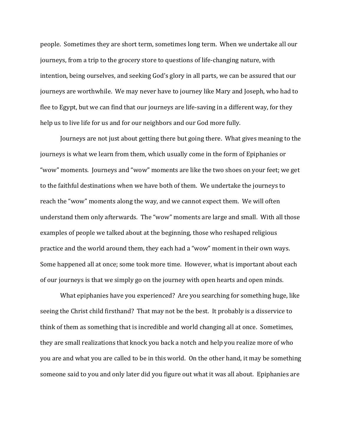people. Sometimes they are short term, sometimes long term. When we undertake all our journeys, from a trip to the grocery store to questions of life-changing nature, with intention, being ourselves, and seeking God's glory in all parts, we can be assured that our journeys are worthwhile. We may never have to journey like Mary and Joseph, who had to flee to Egypt, but we can find that our journeys are life-saving in a different way, for they help us to live life for us and for our neighbors and our God more fully.

Journeys are not just about getting there but going there. What gives meaning to the journeys is what we learn from them, which usually come in the form of Epiphanies or "wow" moments. Journeys and "wow" moments are like the two shoes on your feet; we get to the faithful destinations when we have both of them. We undertake the journeys to reach the "wow" moments along the way, and we cannot expect them. We will often understand them only afterwards. The "wow" moments are large and small. With all those examples of people we talked about at the beginning, those who reshaped religious practice and the world around them, they each had a "wow" moment in their own ways. Some happened all at once; some took more time. However, what is important about each of our journeys is that we simply go on the journey with open hearts and open minds.

What epiphanies have you experienced? Are you searching for something huge, like seeing the Christ child firsthand? That may not be the best. It probably is a disservice to think of them as something that is incredible and world changing all at once. Sometimes, they are small realizations that knock you back a notch and help you realize more of who you are and what you are called to be in this world. On the other hand, it may be something someone said to you and only later did you figure out what it was all about. Epiphanies are